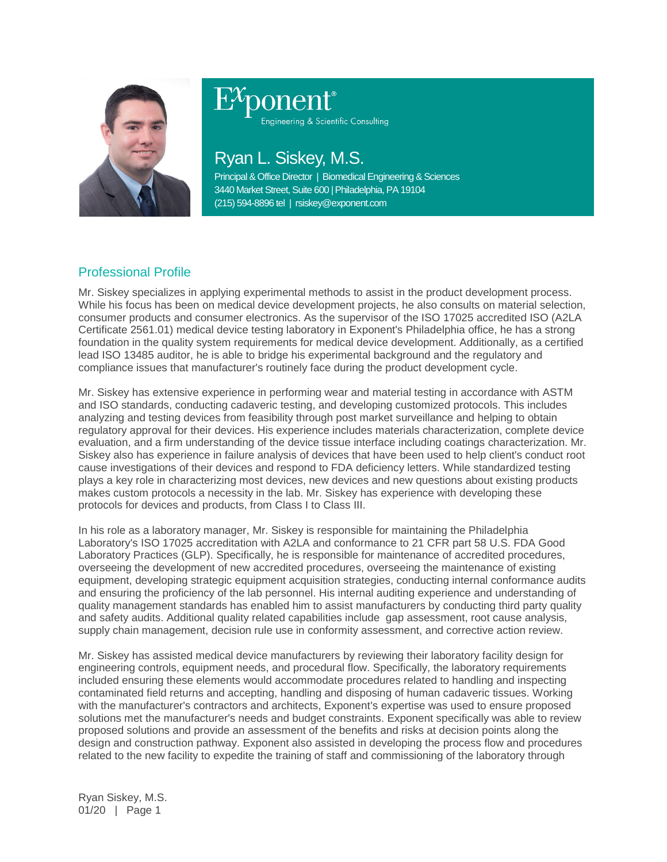

# ponent®

Engineering & Scientific Consulting

## Ryan L. Siskey, M.S.

Principal & Office Director | Biomedical Engineering & Sciences 3440 Market Street, Suite 600 | Philadelphia, PA 19104 (215) 594-8896 tel | rsiskey@exponent.com

### Professional Profile

Mr. Siskey specializes in applying experimental methods to assist in the product development process. While his focus has been on medical device development projects, he also consults on material selection, consumer products and consumer electronics. As the supervisor of the ISO 17025 accredited ISO (A2LA Certificate 2561.01) medical device testing laboratory in Exponent's Philadelphia office, he has a strong foundation in the quality system requirements for medical device development. Additionally, as a certified lead ISO 13485 auditor, he is able to bridge his experimental background and the regulatory and compliance issues that manufacturer's routinely face during the product development cycle.

Mr. Siskey has extensive experience in performing wear and material testing in accordance with ASTM and ISO standards, conducting cadaveric testing, and developing customized protocols. This includes analyzing and testing devices from feasibility through post market surveillance and helping to obtain regulatory approval for their devices. His experience includes materials characterization, complete device evaluation, and a firm understanding of the device tissue interface including coatings characterization. Mr. Siskey also has experience in failure analysis of devices that have been used to help client's conduct root cause investigations of their devices and respond to FDA deficiency letters. While standardized testing plays a key role in characterizing most devices, new devices and new questions about existing products makes custom protocols a necessity in the lab. Mr. Siskey has experience with developing these protocols for devices and products, from Class I to Class III.

In his role as a laboratory manager, Mr. Siskey is responsible for maintaining the Philadelphia Laboratory's ISO 17025 accreditation with A2LA and conformance to 21 CFR part 58 U.S. FDA Good Laboratory Practices (GLP). Specifically, he is responsible for maintenance of accredited procedures, overseeing the development of new accredited procedures, overseeing the maintenance of existing equipment, developing strategic equipment acquisition strategies, conducting internal conformance audits and ensuring the proficiency of the lab personnel. His internal auditing experience and understanding of quality management standards has enabled him to assist manufacturers by conducting third party quality and safety audits. Additional quality related capabilities include gap assessment, root cause analysis, supply chain management, decision rule use in conformity assessment, and corrective action review.

Mr. Siskey has assisted medical device manufacturers by reviewing their laboratory facility design for engineering controls, equipment needs, and procedural flow. Specifically, the laboratory requirements included ensuring these elements would accommodate procedures related to handling and inspecting contaminated field returns and accepting, handling and disposing of human cadaveric tissues. Working with the manufacturer's contractors and architects, Exponent's expertise was used to ensure proposed solutions met the manufacturer's needs and budget constraints. Exponent specifically was able to review proposed solutions and provide an assessment of the benefits and risks at decision points along the design and construction pathway. Exponent also assisted in developing the process flow and procedures related to the new facility to expedite the training of staff and commissioning of the laboratory through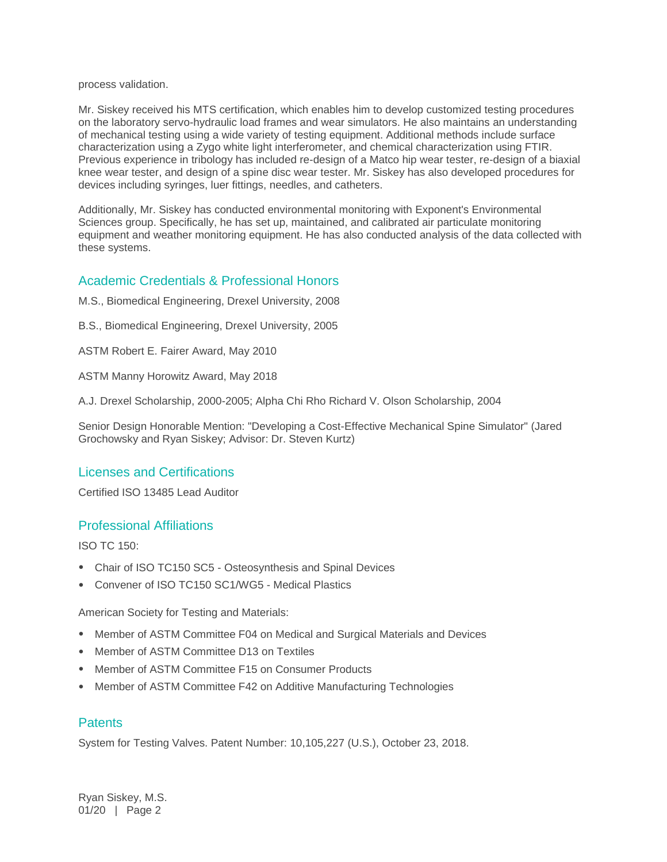process validation.

Mr. Siskey received his MTS certification, which enables him to develop customized testing procedures on the laboratory servo-hydraulic load frames and wear simulators. He also maintains an understanding of mechanical testing using a wide variety of testing equipment. Additional methods include surface characterization using a Zygo white light interferometer, and chemical characterization using FTIR. Previous experience in tribology has included re-design of a Matco hip wear tester, re-design of a biaxial knee wear tester, and design of a spine disc wear tester. Mr. Siskey has also developed procedures for devices including syringes, luer fittings, needles, and catheters.

Additionally, Mr. Siskey has conducted environmental monitoring with Exponent's Environmental Sciences group. Specifically, he has set up, maintained, and calibrated air particulate monitoring equipment and weather monitoring equipment. He has also conducted analysis of the data collected with these systems.

#### Academic Credentials & Professional Honors

M.S., Biomedical Engineering, Drexel University, 2008

B.S., Biomedical Engineering, Drexel University, 2005

ASTM Robert E. Fairer Award, May 2010

ASTM Manny Horowitz Award, May 2018

A.J. Drexel Scholarship, 2000-2005; Alpha Chi Rho Richard V. Olson Scholarship, 2004

Senior Design Honorable Mention: "Developing a Cost-Effective Mechanical Spine Simulator" (Jared Grochowsky and Ryan Siskey; Advisor: Dr. Steven Kurtz)

#### Licenses and Certifications

Certified ISO 13485 Lead Auditor

#### Professional Affiliations

ISO TC 150:

- Chair of ISO TC150 SC5 Osteosynthesis and Spinal Devices
- Convener of ISO TC150 SC1/WG5 Medical Plastics

American Society for Testing and Materials:

- Member of ASTM Committee F04 on Medical and Surgical Materials and Devices
- Member of ASTM Committee D13 on Textiles
- Member of ASTM Committee F15 on Consumer Products
- Member of ASTM Committee F42 on Additive Manufacturing Technologies

#### **Patents**

System for Testing Valves. Patent Number: 10,105,227 (U.S.), October 23, 2018.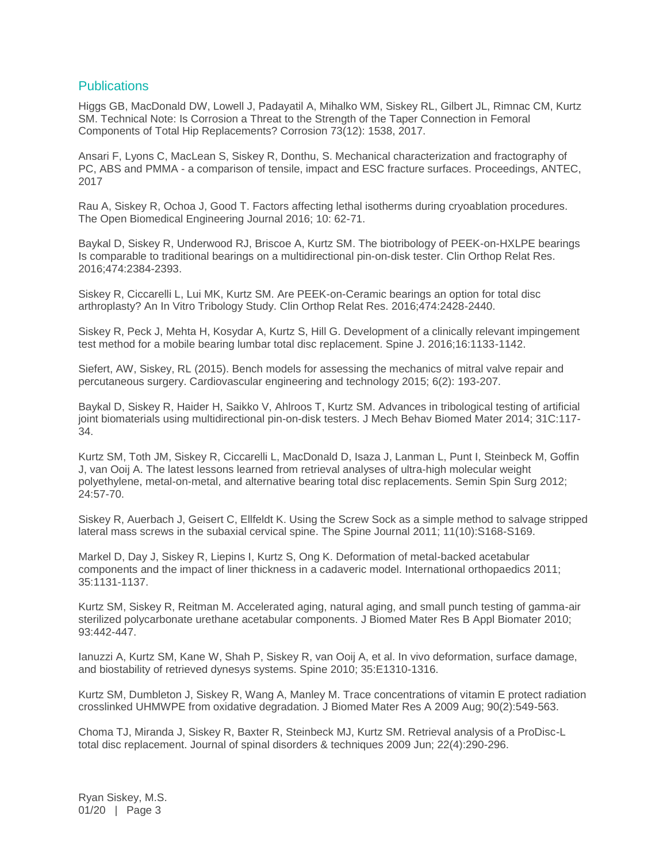#### **Publications**

Higgs GB, MacDonald DW, Lowell J, Padayatil A, Mihalko WM, Siskey RL, Gilbert JL, Rimnac CM, Kurtz SM. Technical Note: Is Corrosion a Threat to the Strength of the Taper Connection in Femoral Components of Total Hip Replacements? Corrosion 73(12): 1538, 2017.

Ansari F, Lyons C, MacLean S, Siskey R, Donthu, S. Mechanical characterization and fractography of PC, ABS and PMMA - a comparison of tensile, impact and ESC fracture surfaces. Proceedings, ANTEC, 2017

Rau A, Siskey R, Ochoa J, Good T. Factors affecting lethal isotherms during cryoablation procedures. The Open Biomedical Engineering Journal 2016; 10: 62-71.

Baykal D, Siskey R, Underwood RJ, Briscoe A, Kurtz SM. The biotribology of PEEK-on-HXLPE bearings Is comparable to traditional bearings on a multidirectional pin-on-disk tester. Clin Orthop Relat Res. 2016;474:2384-2393.

Siskey R, Ciccarelli L, Lui MK, Kurtz SM. Are PEEK-on-Ceramic bearings an option for total disc arthroplasty? An In Vitro Tribology Study. Clin Orthop Relat Res. 2016;474:2428-2440.

Siskey R, Peck J, Mehta H, Kosydar A, Kurtz S, Hill G. Development of a clinically relevant impingement test method for a mobile bearing lumbar total disc replacement. Spine J. 2016;16:1133-1142.

Siefert, AW, Siskey, RL (2015). Bench models for assessing the mechanics of mitral valve repair and percutaneous surgery. Cardiovascular engineering and technology 2015; 6(2): 193-207.

Baykal D, Siskey R, Haider H, Saikko V, Ahlroos T, Kurtz SM. Advances in tribological testing of artificial joint biomaterials using multidirectional pin-on-disk testers. J Mech Behav Biomed Mater 2014; 31C:117- 34.

Kurtz SM, Toth JM, Siskey R, Ciccarelli L, MacDonald D, Isaza J, Lanman L, Punt I, Steinbeck M, Goffin J, van Ooij A. The latest lessons learned from retrieval analyses of ultra-high molecular weight polyethylene, metal-on-metal, and alternative bearing total disc replacements. Semin Spin Surg 2012; 24:57-70.

Siskey R, Auerbach J, Geisert C, Ellfeldt K. Using the Screw Sock as a simple method to salvage stripped lateral mass screws in the subaxial cervical spine. The Spine Journal 2011; 11(10):S168-S169.

Markel D, Day J, Siskey R, Liepins I, Kurtz S, Ong K. Deformation of metal-backed acetabular components and the impact of liner thickness in a cadaveric model. International orthopaedics 2011; 35:1131-1137.

Kurtz SM, Siskey R, Reitman M. Accelerated aging, natural aging, and small punch testing of gamma-air sterilized polycarbonate urethane acetabular components. J Biomed Mater Res B Appl Biomater 2010; 93:442-447.

Ianuzzi A, Kurtz SM, Kane W, Shah P, Siskey R, van Ooij A, et al. In vivo deformation, surface damage, and biostability of retrieved dynesys systems. Spine 2010; 35:E1310-1316.

Kurtz SM, Dumbleton J, Siskey R, Wang A, Manley M. Trace concentrations of vitamin E protect radiation crosslinked UHMWPE from oxidative degradation. J Biomed Mater Res A 2009 Aug; 90(2):549-563.

Choma TJ, Miranda J, Siskey R, Baxter R, Steinbeck MJ, Kurtz SM. Retrieval analysis of a ProDisc-L total disc replacement. Journal of spinal disorders & techniques 2009 Jun; 22(4):290-296.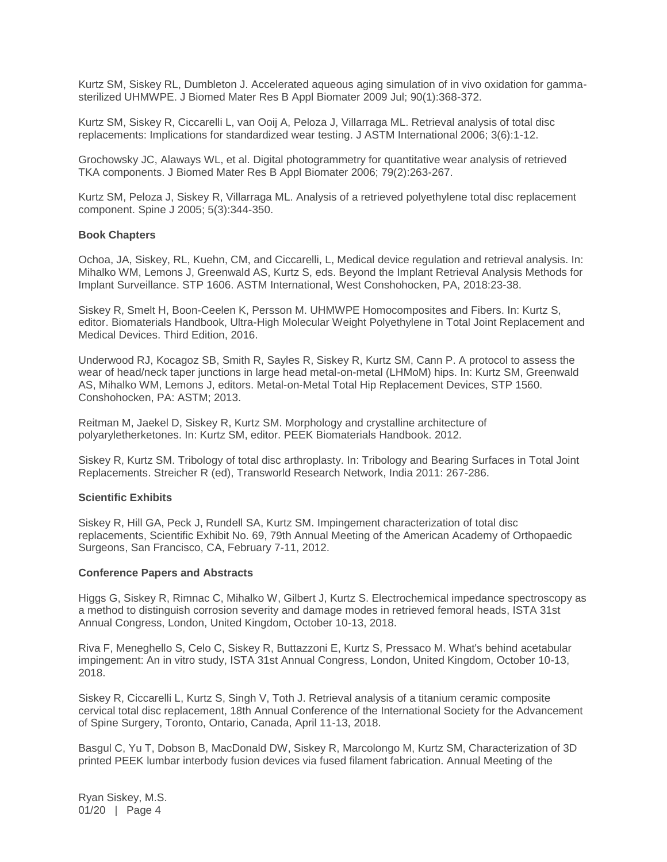Kurtz SM, Siskey RL, Dumbleton J. Accelerated aqueous aging simulation of in vivo oxidation for gammasterilized UHMWPE. J Biomed Mater Res B Appl Biomater 2009 Jul; 90(1):368-372.

Kurtz SM, Siskey R, Ciccarelli L, van Ooij A, Peloza J, Villarraga ML. Retrieval analysis of total disc replacements: Implications for standardized wear testing. J ASTM International 2006; 3(6):1-12.

Grochowsky JC, Alaways WL, et al. Digital photogrammetry for quantitative wear analysis of retrieved TKA components. J Biomed Mater Res B Appl Biomater 2006; 79(2):263-267.

Kurtz SM, Peloza J, Siskey R, Villarraga ML. Analysis of a retrieved polyethylene total disc replacement component. Spine J 2005; 5(3):344-350.

#### **Book Chapters**

Ochoa, JA, Siskey, RL, Kuehn, CM, and Ciccarelli, L, Medical device regulation and retrieval analysis. In: Mihalko WM, Lemons J, Greenwald AS, Kurtz S, eds. Beyond the Implant Retrieval Analysis Methods for Implant Surveillance. STP 1606. ASTM International, West Conshohocken, PA, 2018:23-38.

Siskey R, Smelt H, Boon-Ceelen K, Persson M. UHMWPE Homocomposites and Fibers. In: Kurtz S, editor. Biomaterials Handbook, Ultra-High Molecular Weight Polyethylene in Total Joint Replacement and Medical Devices. Third Edition, 2016.

Underwood RJ, Kocagoz SB, Smith R, Sayles R, Siskey R, Kurtz SM, Cann P. A protocol to assess the wear of head/neck taper junctions in large head metal-on-metal (LHMoM) hips. In: Kurtz SM, Greenwald AS, Mihalko WM, Lemons J, editors. Metal-on-Metal Total Hip Replacement Devices, STP 1560. Conshohocken, PA: ASTM; 2013.

Reitman M, Jaekel D, Siskey R, Kurtz SM. Morphology and crystalline architecture of polyaryletherketones. In: Kurtz SM, editor. PEEK Biomaterials Handbook. 2012.

Siskey R, Kurtz SM. Tribology of total disc arthroplasty. In: Tribology and Bearing Surfaces in Total Joint Replacements. Streicher R (ed), Transworld Research Network, India 2011: 267-286.

#### **Scientific Exhibits**

Siskey R, Hill GA, Peck J, Rundell SA, Kurtz SM. Impingement characterization of total disc replacements, Scientific Exhibit No. 69, 79th Annual Meeting of the American Academy of Orthopaedic Surgeons, San Francisco, CA, February 7-11, 2012.

#### **Conference Papers and Abstracts**

Higgs G, Siskey R, Rimnac C, Mihalko W, Gilbert J, Kurtz S. Electrochemical impedance spectroscopy as a method to distinguish corrosion severity and damage modes in retrieved femoral heads, ISTA 31st Annual Congress, London, United Kingdom, October 10-13, 2018.

Riva F, Meneghello S, Celo C, Siskey R, Buttazzoni E, Kurtz S, Pressaco M. What's behind acetabular impingement: An in vitro study, ISTA 31st Annual Congress, London, United Kingdom, October 10-13, 2018.

Siskey R, Ciccarelli L, Kurtz S, Singh V, Toth J. Retrieval analysis of a titanium ceramic composite cervical total disc replacement, 18th Annual Conference of the International Society for the Advancement of Spine Surgery, Toronto, Ontario, Canada, April 11-13, 2018.

Basgul C, Yu T, Dobson B, MacDonald DW, Siskey R, Marcolongo M, Kurtz SM, Characterization of 3D printed PEEK lumbar interbody fusion devices via fused filament fabrication. Annual Meeting of the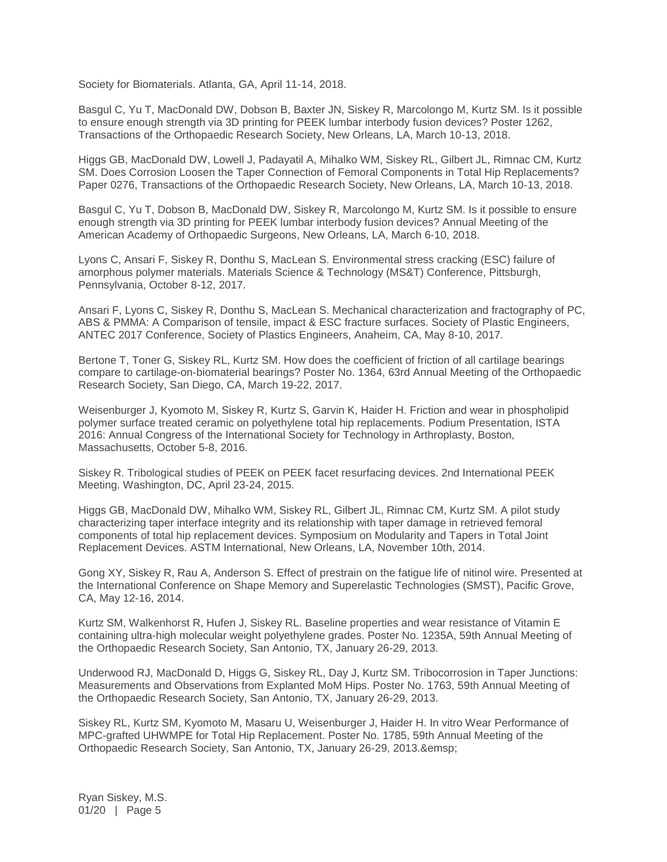Society for Biomaterials. Atlanta, GA, April 11-14, 2018.

Basgul C, Yu T, MacDonald DW, Dobson B, Baxter JN, Siskey R, Marcolongo M, Kurtz SM. Is it possible to ensure enough strength via 3D printing for PEEK lumbar interbody fusion devices? Poster 1262, Transactions of the Orthopaedic Research Society, New Orleans, LA, March 10-13, 2018.

Higgs GB, MacDonald DW, Lowell J, Padayatil A, Mihalko WM, Siskey RL, Gilbert JL, Rimnac CM, Kurtz SM. Does Corrosion Loosen the Taper Connection of Femoral Components in Total Hip Replacements? Paper 0276, Transactions of the Orthopaedic Research Society, New Orleans, LA, March 10-13, 2018.

Basgul C, Yu T, Dobson B, MacDonald DW, Siskey R, Marcolongo M, Kurtz SM. Is it possible to ensure enough strength via 3D printing for PEEK lumbar interbody fusion devices? Annual Meeting of the American Academy of Orthopaedic Surgeons, New Orleans, LA, March 6-10, 2018.

Lyons C, Ansari F, Siskey R, Donthu S, MacLean S. Environmental stress cracking (ESC) failure of amorphous polymer materials. Materials Science & Technology (MS&T) Conference, Pittsburgh, Pennsylvania, October 8-12, 2017.

Ansari F, Lyons C, Siskey R, Donthu S, MacLean S. Mechanical characterization and fractography of PC, ABS & PMMA: A Comparison of tensile, impact & ESC fracture surfaces. Society of Plastic Engineers, ANTEC 2017 Conference, Society of Plastics Engineers, Anaheim, CA, May 8-10, 2017.

Bertone T, Toner G, Siskey RL, Kurtz SM. How does the coefficient of friction of all cartilage bearings compare to cartilage-on-biomaterial bearings? Poster No. 1364, 63rd Annual Meeting of the Orthopaedic Research Society, San Diego, CA, March 19-22, 2017.

Weisenburger J, Kyomoto M, Siskey R, Kurtz S, Garvin K, Haider H. Friction and wear in phospholipid polymer surface treated ceramic on polyethylene total hip replacements. Podium Presentation, ISTA 2016: Annual Congress of the International Society for Technology in Arthroplasty, Boston, Massachusetts, October 5-8, 2016.

Siskey R. Tribological studies of PEEK on PEEK facet resurfacing devices. 2nd International PEEK Meeting. Washington, DC, April 23-24, 2015.

Higgs GB, MacDonald DW, Mihalko WM, Siskey RL, Gilbert JL, Rimnac CM, Kurtz SM. A pilot study characterizing taper interface integrity and its relationship with taper damage in retrieved femoral components of total hip replacement devices. Symposium on Modularity and Tapers in Total Joint Replacement Devices. ASTM International, New Orleans, LA, November 10th, 2014.

Gong XY, Siskey R, Rau A, Anderson S. Effect of prestrain on the fatigue life of nitinol wire. Presented at the International Conference on Shape Memory and Superelastic Technologies (SMST), Pacific Grove, CA, May 12-16, 2014.

Kurtz SM, Walkenhorst R, Hufen J, Siskey RL. Baseline properties and wear resistance of Vitamin E containing ultra-high molecular weight polyethylene grades. Poster No. 1235A, 59th Annual Meeting of the Orthopaedic Research Society, San Antonio, TX, January 26-29, 2013.

Underwood RJ, MacDonald D, Higgs G, Siskey RL, Day J, Kurtz SM. Tribocorrosion in Taper Junctions: Measurements and Observations from Explanted MoM Hips. Poster No. 1763, 59th Annual Meeting of the Orthopaedic Research Society, San Antonio, TX, January 26-29, 2013.

Siskey RL, Kurtz SM, Kyomoto M, Masaru U, Weisenburger J, Haider H. In vitro Wear Performance of MPC-grafted UHWMPE for Total Hip Replacement. Poster No. 1785, 59th Annual Meeting of the Orthopaedic Research Society, San Antonio, TX, January 26-29, 2013.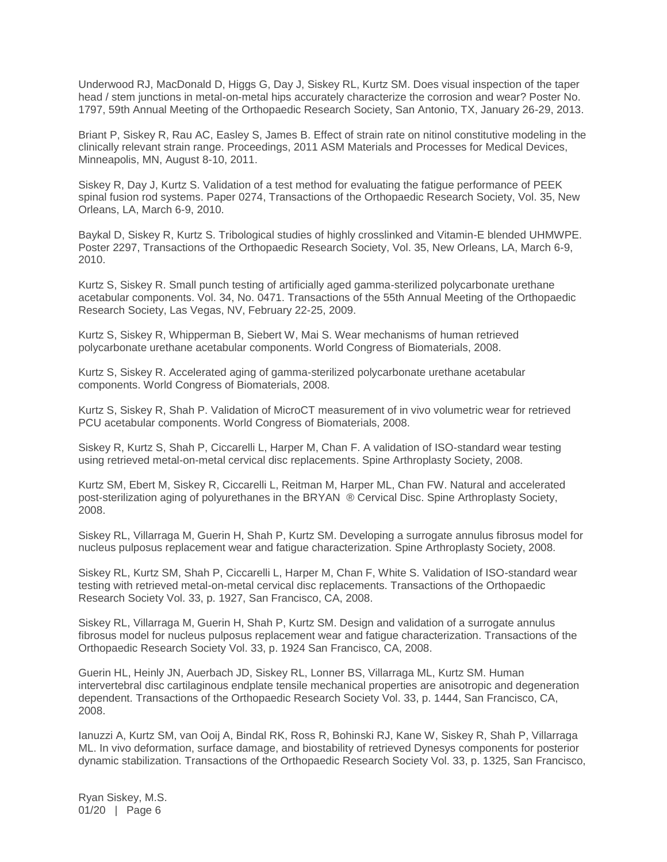Underwood RJ, MacDonald D, Higgs G, Day J, Siskey RL, Kurtz SM. Does visual inspection of the taper head / stem junctions in metal-on-metal hips accurately characterize the corrosion and wear? Poster No. 1797, 59th Annual Meeting of the Orthopaedic Research Society, San Antonio, TX, January 26-29, 2013.

Briant P, Siskey R, Rau AC, Easley S, James B. Effect of strain rate on nitinol constitutive modeling in the clinically relevant strain range. Proceedings, 2011 ASM Materials and Processes for Medical Devices, Minneapolis, MN, August 8-10, 2011.

Siskey R, Day J, Kurtz S. Validation of a test method for evaluating the fatigue performance of PEEK spinal fusion rod systems. Paper 0274, Transactions of the Orthopaedic Research Society, Vol. 35, New Orleans, LA, March 6-9, 2010.

Baykal D, Siskey R, Kurtz S. Tribological studies of highly crosslinked and Vitamin-E blended UHMWPE. Poster 2297, Transactions of the Orthopaedic Research Society, Vol. 35, New Orleans, LA, March 6-9, 2010.

Kurtz S, Siskey R. Small punch testing of artificially aged gamma-sterilized polycarbonate urethane acetabular components. Vol. 34, No. 0471. Transactions of the 55th Annual Meeting of the Orthopaedic Research Society, Las Vegas, NV, February 22-25, 2009.

Kurtz S, Siskey R, Whipperman B, Siebert W, Mai S. Wear mechanisms of human retrieved polycarbonate urethane acetabular components. World Congress of Biomaterials, 2008.

Kurtz S, Siskey R. Accelerated aging of gamma-sterilized polycarbonate urethane acetabular components. World Congress of Biomaterials, 2008.

Kurtz S, Siskey R, Shah P. Validation of MicroCT measurement of in vivo volumetric wear for retrieved PCU acetabular components. World Congress of Biomaterials, 2008.

Siskey R, Kurtz S, Shah P, Ciccarelli L, Harper M, Chan F. A validation of ISO-standard wear testing using retrieved metal-on-metal cervical disc replacements. Spine Arthroplasty Society, 2008.

Kurtz SM, Ebert M, Siskey R, Ciccarelli L, Reitman M, Harper ML, Chan FW. Natural and accelerated post-sterilization aging of polyurethanes in the BRYAN ® Cervical Disc. Spine Arthroplasty Society, 2008.

Siskey RL, Villarraga M, Guerin H, Shah P, Kurtz SM. Developing a surrogate annulus fibrosus model for nucleus pulposus replacement wear and fatigue characterization. Spine Arthroplasty Society, 2008.

Siskey RL, Kurtz SM, Shah P, Ciccarelli L, Harper M, Chan F, White S. Validation of ISO-standard wear testing with retrieved metal-on-metal cervical disc replacements. Transactions of the Orthopaedic Research Society Vol. 33, p. 1927, San Francisco, CA, 2008.

Siskey RL, Villarraga M, Guerin H, Shah P, Kurtz SM. Design and validation of a surrogate annulus fibrosus model for nucleus pulposus replacement wear and fatigue characterization. Transactions of the Orthopaedic Research Society Vol. 33, p. 1924 San Francisco, CA, 2008.

Guerin HL, Heinly JN, Auerbach JD, Siskey RL, Lonner BS, Villarraga ML, Kurtz SM. Human intervertebral disc cartilaginous endplate tensile mechanical properties are anisotropic and degeneration dependent. Transactions of the Orthopaedic Research Society Vol. 33, p. 1444, San Francisco, CA, 2008.

Ianuzzi A, Kurtz SM, van Ooij A, Bindal RK, Ross R, Bohinski RJ, Kane W, Siskey R, Shah P, Villarraga ML. In vivo deformation, surface damage, and biostability of retrieved Dynesys components for posterior dynamic stabilization. Transactions of the Orthopaedic Research Society Vol. 33, p. 1325, San Francisco,